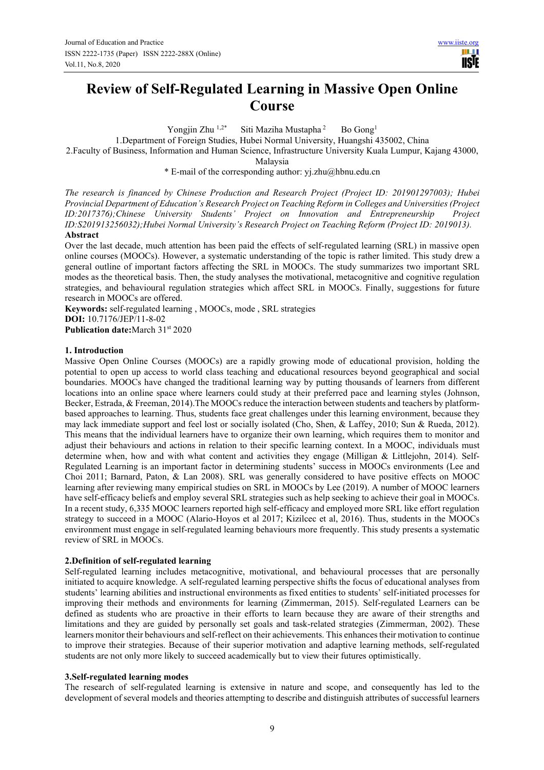# **Review of Self-Regulated Learning in Massive Open Online Course**

Yongjin Zhu <sup>1,2\*</sup> Siti Maziha Mustapha<sup>2</sup> Bo Gong<sup>1</sup>

1.Department of Foreign Studies, Hubei Normal University, Huangshi 435002, China

2.Faculty of Business, Information and Human Science, Infrastructure University Kuala Lumpur, Kajang 43000,

Malaysia

\* E-mail of the corresponding author: yj.zhu@hbnu.edu.cn

*The research is financed by Chinese Production and Research Project (Project ID: 201901297003); Hubei Provincial Department of Education's Research Project on Teaching Reform in Colleges and Universities (Project ID:2017376);Chinese University Students' Project on Innovation and Entrepreneurship Project ID:S201913256032);Hubei Normal University's Research Project on Teaching Reform (Project ID: 2019013).* **Abstract** 

# Over the last decade, much attention has been paid the effects of self-regulated learning (SRL) in massive open online courses (MOOCs). However, a systematic understanding of the topic is rather limited. This study drew a general outline of important factors affecting the SRL in MOOCs. The study summarizes two important SRL modes as the theoretical basis. Then, the study analyses the motivational, metacognitive and cognitive regulation strategies, and behavioural regulation strategies which affect SRL in MOOCs. Finally, suggestions for future research in MOOCs are offered.

**Keywords:** self-regulated learning , MOOCs, mode , SRL strategies **DOI:** 10.7176/JEP/11-8-02 **Publication date:**March 31st 2020

## **1. Introduction**

Massive Open Online Courses (MOOCs) are a rapidly growing mode of educational provision, holding the potential to open up access to world class teaching and educational resources beyond geographical and social boundaries. MOOCs have changed the traditional learning way by putting thousands of learners from different locations into an online space where learners could study at their preferred pace and learning styles (Johnson, Becker, Estrada, & Freeman, 2014).The MOOCs reduce the interaction between students and teachers by platformbased approaches to learning. Thus, students face great challenges under this learning environment, because they may lack immediate support and feel lost or socially isolated (Cho, Shen, & Laffey, 2010; Sun & Rueda, 2012). This means that the individual learners have to organize their own learning, which requires them to monitor and adjust their behaviours and actions in relation to their specific learning context. In a MOOC, individuals must determine when, how and with what content and activities they engage (Milligan & Littlejohn, 2014). Self-Regulated Learning is an important factor in determining students' success in MOOCs environments (Lee and Choi 2011; Barnard, Paton, & Lan 2008). SRL was generally considered to have positive effects on MOOC learning after reviewing many empirical studies on SRL in MOOCs by Lee (2019). A number of MOOC learners have self-efficacy beliefs and employ several SRL strategies such as help seeking to achieve their goal in MOOCs. In a recent study, 6,335 MOOC learners reported high self-efficacy and employed more SRL like effort regulation strategy to succeed in a MOOC (Alario-Hoyos et al 2017; Kizilcec et al, 2016). Thus, students in the MOOCs environment must engage in self-regulated learning behaviours more frequently. This study presents a systematic review of SRL in MOOCs.

# **2.Definition of self-regulated learning**

Self-regulated learning includes metacognitive, motivational, and behavioural processes that are personally initiated to acquire knowledge. A self-regulated learning perspective shifts the focus of educational analyses from students' learning abilities and instructional environments as fixed entities to students' self-initiated processes for improving their methods and environments for learning (Zimmerman, 2015). Self-regulated Learners can be defined as students who are proactive in their efforts to learn because they are aware of their strengths and limitations and they are guided by personally set goals and task-related strategies (Zimmerman, 2002). These learners monitor their behaviours and self-reflect on their achievements. This enhances their motivation to continue to improve their strategies. Because of their superior motivation and adaptive learning methods, self-regulated students are not only more likely to succeed academically but to view their futures optimistically.

#### **3.Self-regulated learning modes**

The research of self-regulated learning is extensive in nature and scope, and consequently has led to the development of several models and theories attempting to describe and distinguish attributes of successful learners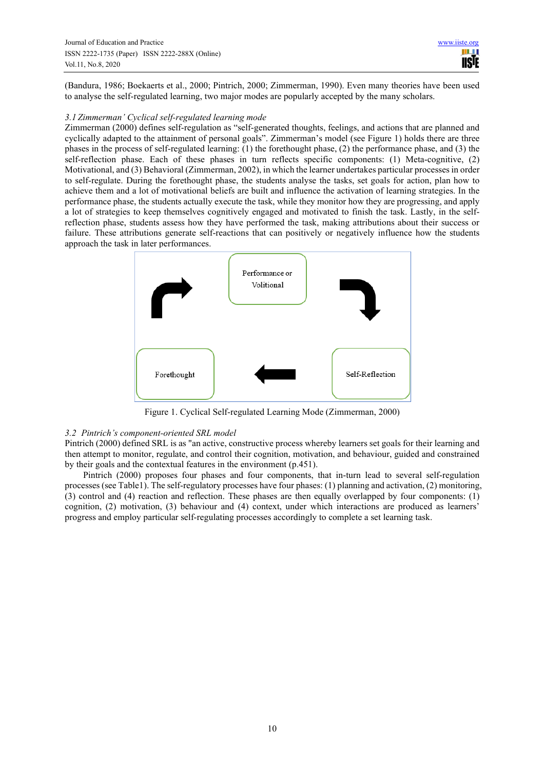(Bandura, 1986; Boekaerts et al., 2000; Pintrich, 2000; Zimmerman, 1990). Even many theories have been used to analyse the self-regulated learning, two major modes are popularly accepted by the many scholars.

## *3.1 Zimmerman' Cyclical self-regulated learning mode*

Zimmerman (2000) defines self-regulation as "self-generated thoughts, feelings, and actions that are planned and cyclically adapted to the attainment of personal goals". Zimmerman's model (see Figure 1) holds there are three phases in the process of self-regulated learning: (1) the forethought phase, (2) the performance phase, and (3) the self-reflection phase. Each of these phases in turn reflects specific components: (1) Meta-cognitive, (2) Motivational, and (3) Behavioral (Zimmerman, 2002), in which the learner undertakes particular processes in order to self-regulate. During the forethought phase, the students analyse the tasks, set goals for action, plan how to achieve them and a lot of motivational beliefs are built and influence the activation of learning strategies. In the performance phase, the students actually execute the task, while they monitor how they are progressing, and apply a lot of strategies to keep themselves cognitively engaged and motivated to finish the task. Lastly, in the selfreflection phase, students assess how they have performed the task, making attributions about their success or failure. These attributions generate self-reactions that can positively or negatively influence how the students approach the task in later performances.



Figure 1. Cyclical Self-regulated Learning Mode (Zimmerman, 2000)

#### *3.2 Pintrich's component-oriented SRL model*

Pintrich (2000) defined SRL is as "an active, constructive process whereby learners set goals for their learning and then attempt to monitor, regulate, and control their cognition, motivation, and behaviour, guided and constrained by their goals and the contextual features in the environment (p.451).

Pintrich (2000) proposes four phases and four components, that in-turn lead to several self-regulation processes (see Table1). The self-regulatory processes have four phases: (1) planning and activation, (2) monitoring, (3) control and (4) reaction and reflection. These phases are then equally overlapped by four components: (1) cognition, (2) motivation, (3) behaviour and (4) context, under which interactions are produced as learners' progress and employ particular self-regulating processes accordingly to complete a set learning task.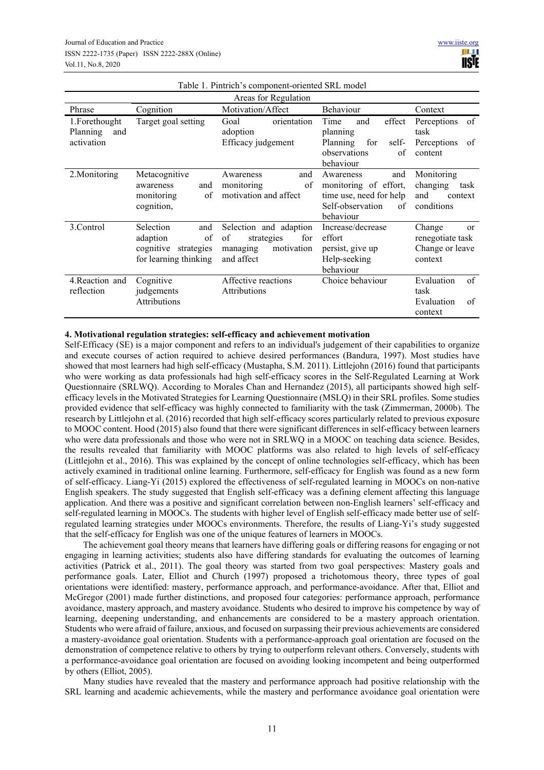| Areas for Regulation                           |                                                                                        |                                                                                           |                                                                                                             |                                                                       |
|------------------------------------------------|----------------------------------------------------------------------------------------|-------------------------------------------------------------------------------------------|-------------------------------------------------------------------------------------------------------------|-----------------------------------------------------------------------|
| Phrase                                         | Cognition                                                                              | Motivation/Affect                                                                         | Behaviour                                                                                                   | Context                                                               |
| 1.Forethought<br>Planning<br>and<br>activation | Target goal setting                                                                    | orientation<br>Goal<br>adoption<br>Efficacy judgement                                     | effect<br>Time<br>and<br>planning<br>Planning<br>for<br>self-                                               | Perceptions<br>of<br>task<br>Perceptions<br>of                        |
|                                                |                                                                                        |                                                                                           | observations<br>of<br>behaviour                                                                             | content                                                               |
| 2. Monitoring                                  | Metacognitive<br>and<br>awareness<br>of<br>monitoring<br>cognition,                    | and<br>Awareness<br>of<br>monitoring<br>motivation and affect                             | and<br>Awareness<br>monitoring of effort,<br>time use, need for help<br>Self-observation<br>of<br>behaviour | Monitoring<br>changing<br>task<br>and<br>context<br>conditions        |
| 3.Control                                      | Selection<br>and<br>of<br>adaption<br>cognitive<br>strategies<br>for learning thinking | Selection and adaption<br>of<br>for<br>strategies<br>managing<br>motivation<br>and affect | Increase/decrease<br>effort<br>persist, give up<br>Help-seeking<br>behaviour                                | Change<br><b>or</b><br>renegotiate task<br>Change or leave<br>context |
| 4. Reaction and<br>reflection                  | Cognitive<br>judgements<br>Attributions                                                | Affective reactions<br>Attributions                                                       | Choice behaviour                                                                                            | Evaluation<br>of<br>task<br>Evaluation<br>of<br>context               |

#### Table 1. Pintrich's component-oriented SRL model

#### **4. Motivational regulation strategies: self-efficacy and achievement motivation**

Self-Efficacy (SE) is a major component and refers to an individual's judgement of their capabilities to organize and execute courses of action required to achieve desired performances (Bandura, 1997). Most studies have showed that most learners had high self-efficacy (Mustapha, S.M. 2011). Littlejohn (2016) found that participants who were working as data professionals had high self-efficacy scores in the Self-Regulated Learning at Work Questionnaire (SRLWQ). According to Morales Chan and Hernandez (2015), all participants showed high selfefficacy levels in the Motivated Strategies for Learning Questionnaire (MSLQ) in their SRL profiles. Some studies provided evidence that self-efficacy was highly connected to familiarity with the task (Zimmerman, 2000b). The research by Littlejohn et al. (2016) recorded that high self-efficacy scores particularly related to previous exposure to MOOC content. Hood (2015) also found that there were significant differences in self-efficacy between learners who were data professionals and those who were not in SRLWQ in a MOOC on teaching data science. Besides, the results revealed that familiarity with MOOC platforms was also related to high levels of self-efficacy (Littlejohn et al., 2016). This was explained by the concept of online technologies self-efficacy, which has been actively examined in traditional online learning. Furthermore, self-efficacy for English was found as a new form of self-efficacy. Liang-Yi (2015) explored the effectiveness of self-regulated learning in MOOCs on non-native English speakers. The study suggested that English self-efficacy was a defining element affecting this language application. And there was a positive and significant correlation between non-English learners' self-efficacy and self-regulated learning in MOOCs. The students with higher level of English self-efficacy made better use of selfregulated learning strategies under MOOCs environments. Therefore, the results of Liang-Yi's study suggested that the self-efficacy for English was one of the unique features of learners in MOOCs.

The achievement goal theory means that learners have differing goals or differing reasons for engaging or not engaging in learning activities; students also have differing standards for evaluating the outcomes of learning activities (Patrick et al., 2011). The goal theory was started from two goal perspectives: Mastery goals and performance goals. Later, Elliot and Church (1997) proposed a trichotomous theory, three types of goal orientations were identified: mastery, performance approach, and performance-avoidance. After that, Elliot and McGregor (2001) made further distinctions, and proposed four categories: performance approach, performance avoidance, mastery approach, and mastery avoidance. Students who desired to improve his competence by way of learning, deepening understanding, and enhancements are considered to be a mastery approach orientation. Students who were afraid of failure, anxious, and focused on surpassing their previous achievements are considered a mastery-avoidance goal orientation. Students with a performance-approach goal orientation are focused on the demonstration of competence relative to others by trying to outperform relevant others. Conversely, students with a performance-avoidance goal orientation are focused on avoiding looking incompetent and being outperformed by others (Elliot, 2005).

Many studies have revealed that the mastery and performance approach had positive relationship with the SRL learning and academic achievements, while the mastery and performance avoidance goal orientation were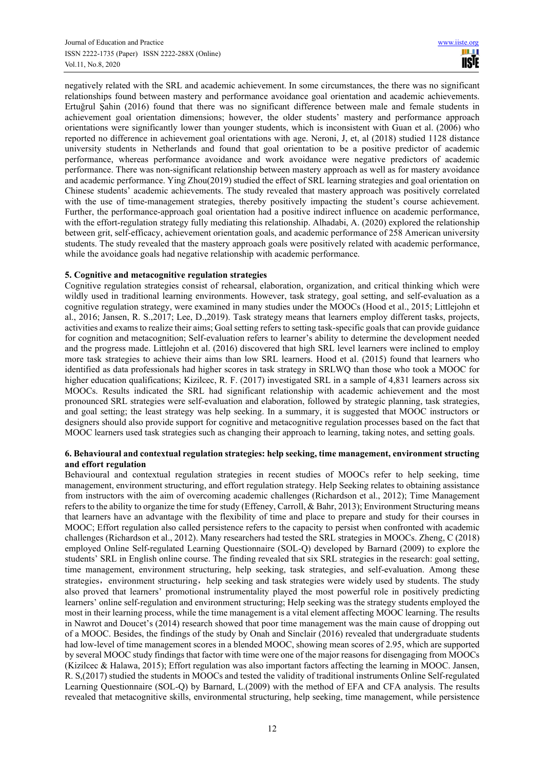negatively related with the SRL and academic achievement. In some circumstances, the there was no significant relationships found between mastery and performance avoidance goal orientation and academic achievements. Ertuğrul Şahin (2016) found that there was no significant difference between male and female students in achievement goal orientation dimensions; however, the older students' mastery and performance approach orientations were significantly lower than younger students, which is inconsistent with Guan et al. (2006) who reported no difference in achievement goal orientations with age. Neroni, J, et, al (2018) studied 1128 distance university students in Netherlands and found that goal orientation to be a positive predictor of academic performance, whereas performance avoidance and work avoidance were negative predictors of academic performance. There was non-significant relationship between mastery approach as well as for mastery avoidance and academic performance. Ying Zhou(2019) studied the effect of SRL learning strategies and goal orientation on Chinese students' academic achievements. The study revealed that mastery approach was positively correlated with the use of time-management strategies, thereby positively impacting the student's course achievement. Further, the performance-approach goal orientation had a positive indirect influence on academic performance, with the effort-regulation strategy fully mediating this relationship. Alhadabi, A. (2020) explored the relationship between grit, self-efficacy, achievement orientation goals, and academic performance of 258 American university students. The study revealed that the mastery approach goals were positively related with academic performance, while the avoidance goals had negative relationship with academic performance.

## **5. Cognitive and metacognitive regulation strategies**

Cognitive regulation strategies consist of rehearsal, elaboration, organization, and critical thinking which were wildly used in traditional learning environments. However, task strategy, goal setting, and self-evaluation as a cognitive regulation strategy, were examined in many studies under the MOOCs (Hood et al., 2015; Littlejohn et al., 2016; Jansen, R. S.,2017; Lee, D.,2019). Task strategy means that learners employ different tasks, projects, activities and exams to realize their aims; Goal setting refers to setting task-specific goals that can provide guidance for cognition and metacognition; Self-evaluation refers to learner's ability to determine the development needed and the progress made. Littlejohn et al. (2016) discovered that high SRL level learners were inclined to employ more task strategies to achieve their aims than low SRL learners. Hood et al. (2015) found that learners who identified as data professionals had higher scores in task strategy in SRLWQ than those who took a MOOC for higher education qualifications; Kizilcec, R. F. (2017) investigated SRL in a sample of 4,831 learners across six MOOCs. Results indicated the SRL had significant relationship with academic achievement and the most pronounced SRL strategies were self-evaluation and elaboration, followed by strategic planning, task strategies, and goal setting; the least strategy was help seeking. In a summary, it is suggested that MOOC instructors or designers should also provide support for cognitive and metacognitive regulation processes based on the fact that MOOC learners used task strategies such as changing their approach to learning, taking notes, and setting goals.

# **6. Behavioural and contextual regulation strategies: help seeking, time management, environment structing and effort regulation**

Behavioural and contextual regulation strategies in recent studies of MOOCs refer to help seeking, time management, environment structuring, and effort regulation strategy. Help Seeking relates to obtaining assistance from instructors with the aim of overcoming academic challenges (Richardson et al., 2012); Time Management refers to the ability to organize the time for study (Effeney, Carroll, & Bahr, 2013); Environment Structuring means that learners have an advantage with the flexibility of time and place to prepare and study for their courses in MOOC; Effort regulation also called persistence refers to the capacity to persist when confronted with academic challenges (Richardson et al., 2012). Many researchers had tested the SRL strategies in MOOCs. Zheng, C (2018) employed Online Self-regulated Learning Questionnaire (SOL-Q) developed by Barnard (2009) to explore the students' SRL in English online course. The finding revealed that six SRL strategies in the research: goal setting, time management, environment structuring, help seeking, task strategies, and self-evaluation. Among these strategies, environment structuring, help seeking and task strategies were widely used by students. The study also proved that learners' promotional instrumentality played the most powerful role in positively predicting learners' online self-regulation and environment structuring; Help seeking was the strategy students employed the most in their learning process, while the time management is a vital element affecting MOOC learning. The results in Nawrot and Doucet's (2014) research showed that poor time management was the main cause of dropping out of a MOOC. Besides, the findings of the study by Onah and Sinclair (2016) revealed that undergraduate students had low-level of time management scores in a blended MOOC, showing mean scores of 2.95, which are supported by several MOOC study findings that factor with time were one of the major reasons for disengaging from MOOCs (Kizilcec & Halawa, 2015); Effort regulation was also important factors affecting the learning in MOOC. Jansen, R. S,(2017) studied the students in MOOCs and tested the validity of traditional instruments Online Self-regulated Learning Questionnaire (SOL-Q) by Barnard, L.(2009) with the method of EFA and CFA analysis. The results revealed that metacognitive skills, environmental structuring, help seeking, time management, while persistence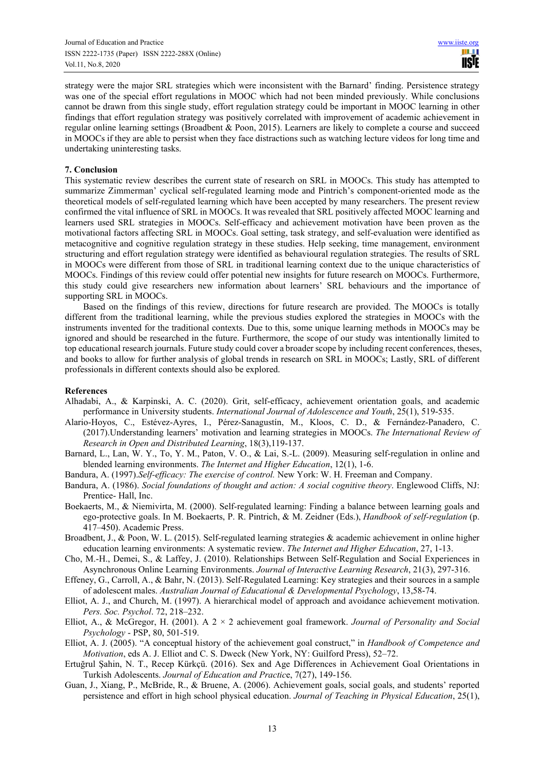strategy were the major SRL strategies which were inconsistent with the Barnard' finding. Persistence strategy was one of the special effort regulations in MOOC which had not been minded previously. While conclusions cannot be drawn from this single study, effort regulation strategy could be important in MOOC learning in other findings that effort regulation strategy was positively correlated with improvement of academic achievement in regular online learning settings (Broadbent & Poon, 2015). Learners are likely to complete a course and succeed in MOOCs if they are able to persist when they face distractions such as watching lecture videos for long time and undertaking uninteresting tasks.

# **7. Conclusion**

This systematic review describes the current state of research on SRL in MOOCs. This study has attempted to summarize Zimmerman' cyclical self-regulated learning mode and Pintrich's component-oriented mode as the theoretical models of self-regulated learning which have been accepted by many researchers. The present review confirmed the vital influence of SRL in MOOCs. It was revealed that SRL positively affected MOOC learning and learners used SRL strategies in MOOCs. Self-efficacy and achievement motivation have been proven as the motivational factors affecting SRL in MOOCs. Goal setting, task strategy, and self-evaluation were identified as metacognitive and cognitive regulation strategy in these studies. Help seeking, time management, environment structuring and effort regulation strategy were identified as behavioural regulation strategies. The results of SRL in MOOCs were different from those of SRL in traditional learning context due to the unique characteristics of MOOCs. Findings of this review could offer potential new insights for future research on MOOCs. Furthermore, this study could give researchers new information about learners' SRL behaviours and the importance of supporting SRL in MOOCs.

Based on the findings of this review, directions for future research are provided. The MOOCs is totally different from the traditional learning, while the previous studies explored the strategies in MOOCs with the instruments invented for the traditional contexts. Due to this, some unique learning methods in MOOCs may be ignored and should be researched in the future. Furthermore, the scope of our study was intentionally limited to top educational research journals. Future study could cover a broader scope by including recent conferences, theses, and books to allow for further analysis of global trends in research on SRL in MOOCs; Lastly, SRL of different professionals in different contexts should also be explored.

#### **References**

- Alhadabi, A., & Karpinski, A. C. (2020). Grit, self-efficacy, achievement orientation goals, and academic performance in University students. *International Journal of Adolescence and Youth*, 25(1), 519-535.
- Alario-Hoyos, C., Estévez-Ayres, I., Pérez-Sanagustín, M., Kloos, C. D., & Fernández-Panadero, C. (2017).Understanding learners' motivation and learning strategies in MOOCs. *The International Review of Research in Open and Distributed Learning*, 18(3),119-137.
- Barnard, L., Lan, W. Y., To, Y. M., Paton, V. O., & Lai, S.-L. (2009). Measuring self-regulation in online and blended learning environments. *The Internet and Higher Education*, 12(1), 1-6.
- Bandura, A. (1997).*Self-efficacy: The exercise of control.* New York: W. H. Freeman and Company.
- Bandura, A. (1986). *Social foundations of thought and action: A social cognitive theory*. Englewood Cliffs, NJ: Prentice- Hall, Inc.
- Boekaerts, M., & Niemivirta, M. (2000). Self-regulated learning: Finding a balance between learning goals and ego-protective goals. In M. Boekaerts, P. R. Pintrich, & M. Zeidner (Eds.), *Handbook of self-regulation* (p. 417–450). Academic Press.
- Broadbent, J., & Poon, W. L. (2015). Self-regulated learning strategies & academic achievement in online higher education learning environments: A systematic review. *The Internet and Higher Education*, 27, 1-13.
- Cho, M.-H., Demei, S., & Laffey, J. (2010). Relationships Between Self-Regulation and Social Experiences in Asynchronous Online Learning Environments. *Journal of Interactive Learning Research*, 21(3), 297-316.
- Effeney, G., Carroll, A., & Bahr, N. (2013). Self-Regulated Learning: Key strategies and their sources in a sample of adolescent males. *Australian Journal of Educational & Developmental Psychology*, 13,58-74.
- Elliot, A. J., and Church, M. (1997). A hierarchical model of approach and avoidance achievement motivation. *Pers. Soc. Psychol*. 72, 218–232.
- Elliot, A., & McGregor, H. (2001). A 2 × 2 achievement goal framework. *Journal of Personality and Social Psychology* - PSP, 80, 501-519.
- Elliot, A. J. (2005). "A conceptual history of the achievement goal construct," in *Handbook of Competence and Motivation*, eds A. J. Elliot and C. S. Dweck (New York, NY: Guilford Press), 52–72.
- Ertuğrul Şahin, N. T., Recep Kürkçü. (2016). Sex and Age Differences in Achievement Goal Orientations in Turkish Adolescents. *Journal of Education and Practic*e, 7(27), 149-156.
- Guan, J., Xiang, P., McBride, R., & Bruene, A. (2006). Achievement goals, social goals, and students' reported persistence and effort in high school physical education. *Journal of Teaching in Physical Education*, 25(1),